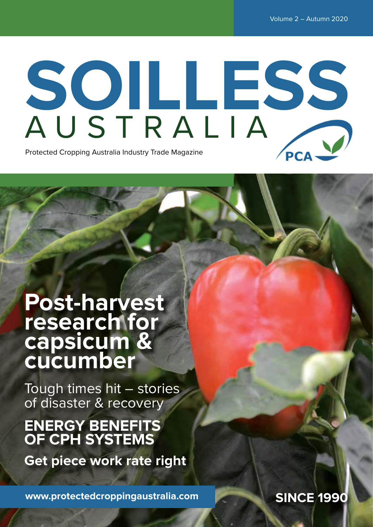# **SOILLESS** AUSTRALIA

Protected Cropping Australia Industry Trade Magazine

### **Post-harvest research for capsicum & cucumber**

Tough times hit – stories of disaster & recovery

### **ENERGY BENEFITS OF CPH SYSTEMS**

**Get piece work rate right**

**www.protectedcroppingaustralia.com**

**SINCE 1990**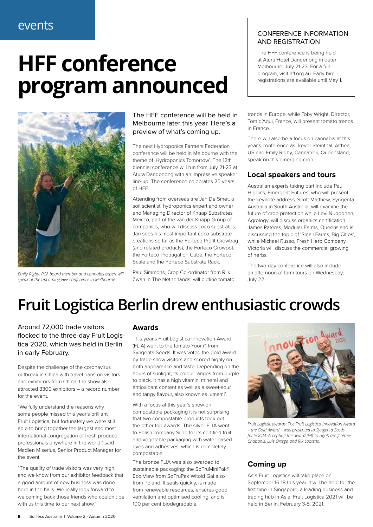### events

# **HFF conference program announced**



*Emily Rigby, PCA board member and cannabis expert will speak at the upcoming HFF conference in Melbourne.*

#### The HFF conference will be held in Melbourne later this year. Here's a preview of what's coming up.

The next Hydroponics Farmers Federation conference will be held in Melbourne with the theme of 'Hydroponics Tomorrow'. The 12th biennial conference will run from July 21-23 at Atura Dandenong with an impressive speaker line-up. The conference celebrates 25 years of HFF.

Attending from overseas are Jan De Smet, a soil scientist, hydroponics expert and owner and Managing Director of Knaap Substrates Mexico, part of the van der Knapp Group of companies, who will discuss coco substrates. Jan sees his most important coco substrate creations so far as the Forteco Profit Growbag (and related products), the Forteco Growpot, the Forteco Propagation Cube, the Forteco Scale and the Forteco Substrate Rack.

Paul Simmons, Crop Co-ordinator from Rijk Zwan in The Netherlands, will outline tomato

#### CONFERENCE INFORMATION AND REGISTRATION

The HFF conference is being held at Atura Hotel Dandenong in outer Melbourne, July 21-23. For a full program, visit hff.org.au. Early bird registrations are available until May 1.

trends in Europe, while Toby Wright, Director, Tom d'Aqui, France, will present tomato trends in France.

There will also be a focus on cannabis at this year's conference as Trevor Steinthal, Althea, US and Emily Rigby, Cannatrek, Queensland, speak on this emerging crop.

#### **Local speakers and tours**

Australian experts taking part include Paul Higgins, Emergent Futures, who will present the keynote address. Scott Matthew, Syngenta Australia in South Australia, will examine the future of crop protection while Levi Nupponen, Agrology, will discuss organics certification. James Pateras, Modular Farms, Queensland is discussing the topic of 'Small Farms, Big Cities', while Michael Russo, Fresh Herb Company, Victoria will discuss the commercial growing of herbs.

The two-day conference will also include an afternoon of farm tours on Wednesday, July 22.

### **Fruit Logistica Berlin drew enthusiastic crowds**

Around 72,000 trade visitors flocked to the three-day Fruit Logistica 2020, which was held in Berlin in early February.

Despite the challenge of the coronavirus outbreak in China with travel bans on visitors and exhibitors from China, the show also attracted 3300 exhibitors – a record number for the event.

"We fully understand the reasons why some people missed this year's brilliant Fruit Logistica, but fortunately we were still able to bring together the largest and most international congregation of fresh produce professionals anywhere in the world," said Madlen Miserius, Senior Product Manager for the event.

"The quality of trade visitors was very high, and we know from our exhibitor feedback that a good amount of new business was done here in the halls. We really look forward to welcoming back those friends who couldn't be with us this time to our next show."

#### **Awards**

This year's Fruit Logistica Innovation Award (FLIA) went to the tomato Yoom™ from Syngenta Seeds. It was voted the gold award by trade show visitors and scored highly on both appearance and taste. Depending on the hours of sunlight, its colour ranges from purple to black. It has a high vitamin, mineral and antioxidant content as well as a sweet-sour and tangy flavour, also known as 'umami'.

With a focus at this year's show on compostable packaging it is not surprising that two compostable products took out the other top awards. The silver FLIA went to Polish company Silbo for its certified fruit and vegetable packaging with water-based dyes and adhesives, which is completely compostable.

The bronze FLIA was also awarded to sustainable packaging: the SoFruMiniPak® Eco View from SoFruPak Witold Gai also from Poland. It seals quickly, is made from renewable resources, ensures good ventilation and optimised cooling, and is 100 per cent biodegradable.



*Fruit Logistic awards: The Fruit Logistica Innovation Award – the Gold Award – was presented to Syngenta Seeds for YOOM. Accepting the award (left to right) are Jérémie Chabanis, Luis Ortega and Rik Lootens.*

### **Coming up**

Asia Fruit Logistica will take place on September 16-18 this year. It will be held for the first time in Singapore, a leading business and trading hub in Asia. Fruit Logistica 2021 will be held in Berlin, February 3-5, 2021.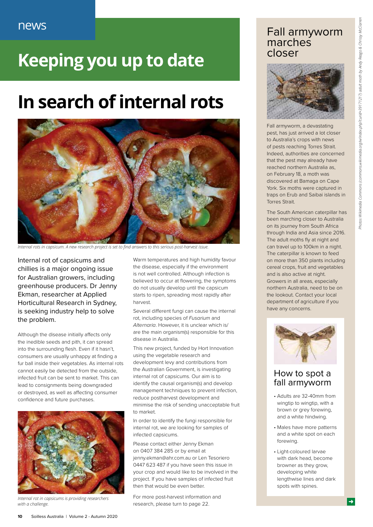### **Keeping you up to date**

### **In search of internal rots**



*Internal rots in capsicum. A new research project is set to find answers to this serious post-harvest issue.*

Internal rot of capsicums and chillies is a major ongoing issue for Australian growers, including greenhouse producers. Dr Jenny Ekman, researcher at Applied Horticultural Research in Sydney, is seeking industry help to solve the problem.

Although the disease initially affects only the inedible seeds and pith, it can spread into the surrounding flesh. Even if it hasn't, consumers are usually unhappy at finding a fur ball inside their vegetables. As internal rots cannot easily be detected from the outside, infected fruit can be sent to market. This can lead to consignments being downgraded or destroyed, as well as affecting consumer confidence and future purchases.



*Internal rot in capsicums is providing researchers with a challenge.*

Warm temperatures and high humidity favour the disease, especially if the environment is not well controlled. Although infection is believed to occur at flowering, the symptoms do not usually develop until the capsicum starts to ripen, spreading most rapidly after harvest.

Several different fungi can cause the internal rot, including species of *Fusarium* and *Alternaria*. However, it is unclear which is/ are the main organism(s) responsible for this disease in Australia.

This new project, funded by Hort Innovation using the vegetable research and development levy and contributions from the Australian Government, is investigating internal rot of capsicums. Our aim is to identify the causal organism(s) and develop management techniques to prevent infection, reduce postharvest development and minimise the risk of sending unacceptable fruit to market.

In order to identify the fungi responsible for internal rot, we are looking for samples of infected capsicums.

Please contact either Jenny Ekman on 0407 384 285 or by email at jenny.ekman@ahr.com.au or Len Tesoriero 0447 623 487 if you have seen this issue in your crop and would like to be involved in the project. If you have samples of infected fruit then that would be even better.

For more post-harvest information and research, please turn to page 22.

### Fall armyworm marches closer



Fall armyworm, a devastating pest, has just arrived a lot closer to Australia's crops with news of pests reaching Torres Strait. Indeed, authorities are concerned that the pest may already have reached northern Australia as, on February 18, a moth was discovered at Bamaga on Cape York. Six moths were captured in traps on Erub and Saibai islands in Torres Strait.

The South American caterpillar has been marching closer to Australia on its journey from South Africa through India and Asia since 2016. The adult moths fly at night and can travel up to 100km in a night. The caterpillar is known to feed on more than 350 plants including cereal crops, fruit and vegetables and is also active at night. Growers in all areas, especially northern Australia, need to be on the lookout. Contact your local department of agriculture if you have any concerns.



#### How to spot a fall armyworm

- Adults are 32-40mm from wingtip to wingtip, with a brown or grey forewing, and a white hindwing.
- Males have more patterns and a white spot on each forewing.
- Light-coloured larvae with dark head, become browner as they grow, developing white lengthwise lines and dark spots with spines.